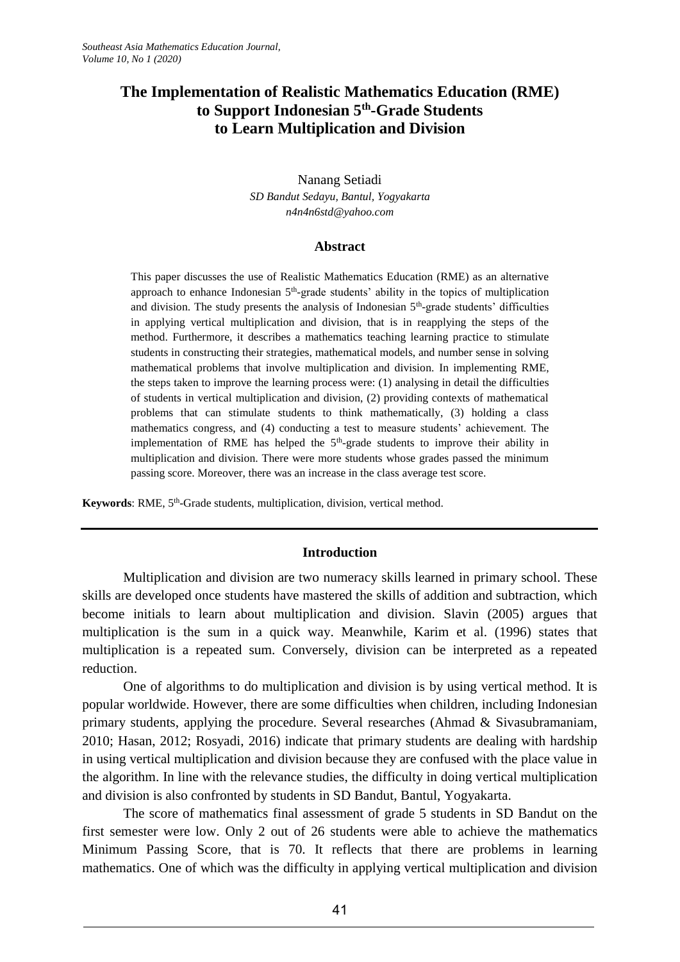# **The Implementation of Realistic Mathematics Education (RME) to Support Indonesian 5th -Grade Students to Learn Multiplication and Division**

## Nanang Setiadi *SD Bandut Sedayu, Bantul, Yogyakarta [n4n4n6std@yahoo.com](mailto:n4n4n6std@yahoo.com)*

### **Abstract**

This paper discusses the use of Realistic Mathematics Education (RME) as an alternative approach to enhance Indonesian  $5<sup>th</sup>$ -grade students' ability in the topics of multiplication and division. The study presents the analysis of Indonesian 5<sup>th</sup>-grade students' difficulties in applying vertical multiplication and division, that is in reapplying the steps of the method. Furthermore, it describes a mathematics teaching learning practice to stimulate students in constructing their strategies, mathematical models, and number sense in solving mathematical problems that involve multiplication and division. In implementing RME, the steps taken to improve the learning process were: (1) analysing in detail the difficulties of students in vertical multiplication and division, (2) providing contexts of mathematical problems that can stimulate students to think mathematically, (3) holding a class mathematics congress, and (4) conducting a test to measure students' achievement. The implementation of RME has helped the  $5<sup>th</sup>$ -grade students to improve their ability in multiplication and division. There were more students whose grades passed the minimum passing score. Moreover, there was an increase in the class average test score.

Keywords: RME, 5<sup>th</sup>-Grade students, multiplication, division, vertical method.

# **Introduction**

Multiplication and division are two numeracy skills learned in primary school. These skills are developed once students have mastered the skills of addition and subtraction, which become initials to learn about multiplication and division. Slavin (2005) argues that multiplication is the sum in a quick way. Meanwhile, Karim et al. (1996) states that multiplication is a repeated sum. Conversely, division can be interpreted as a repeated reduction.

One of algorithms to do multiplication and division is by using vertical method. It is popular worldwide. However, there are some difficulties when children, including Indonesian primary students, applying the procedure. Several researches (Ahmad & Sivasubramaniam, 2010; Hasan, 2012; Rosyadi, 2016) indicate that primary students are dealing with hardship in using vertical multiplication and division because they are confused with the place value in the algorithm. In line with the relevance studies, the difficulty in doing vertical multiplication and division is also confronted by students in SD Bandut, Bantul, Yogyakarta.

The score of mathematics final assessment of grade 5 students in SD Bandut on the first semester were low. Only 2 out of 26 students were able to achieve the mathematics Minimum Passing Score, that is 70. It reflects that there are problems in learning mathematics. One of which was the difficulty in applying vertical multiplication and division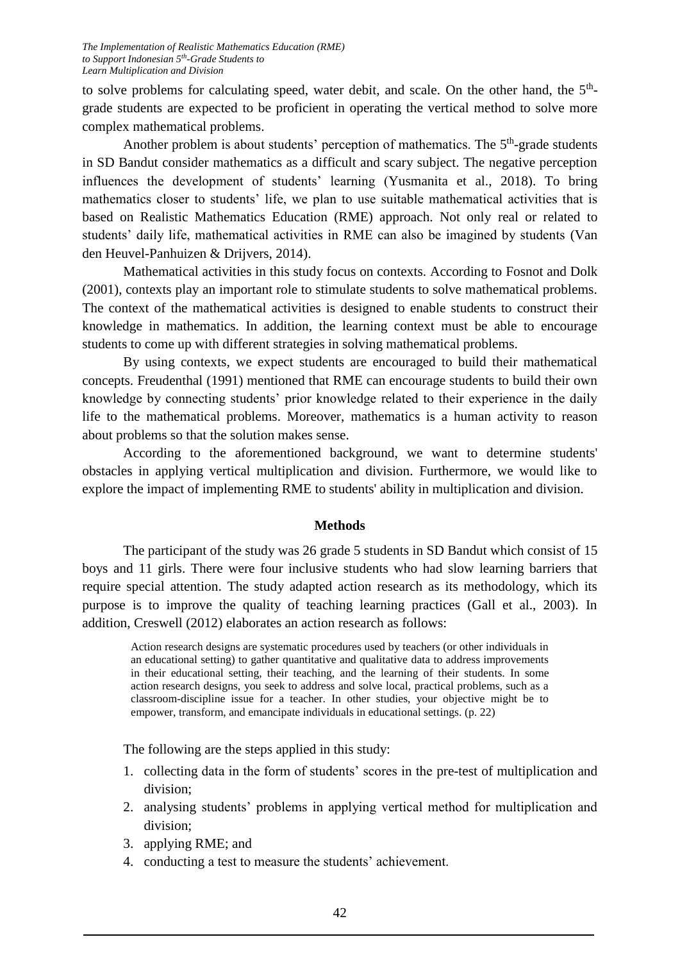to solve problems for calculating speed, water debit, and scale. On the other hand, the 5<sup>th</sup>grade students are expected to be proficient in operating the vertical method to solve more complex mathematical problems.

Another problem is about students' perception of mathematics. The  $5<sup>th</sup>$ -grade students in SD Bandut consider mathematics as a difficult and scary subject. The negative perception influences the development of students' learning (Yusmanita et al., 2018). To bring mathematics closer to students' life, we plan to use suitable mathematical activities that is based on Realistic Mathematics Education (RME) approach. Not only real or related to students' daily life, mathematical activities in RME can also be imagined by students (Van den Heuvel-Panhuizen & Drijvers, 2014).

Mathematical activities in this study focus on contexts. According to Fosnot and Dolk (2001), contexts play an important role to stimulate students to solve mathematical problems. The context of the mathematical activities is designed to enable students to construct their knowledge in mathematics. In addition, the learning context must be able to encourage students to come up with different strategies in solving mathematical problems.

By using contexts, we expect students are encouraged to build their mathematical concepts. Freudenthal (1991) mentioned that RME can encourage students to build their own knowledge by connecting students' prior knowledge related to their experience in the daily life to the mathematical problems. Moreover, mathematics is a human activity to reason about problems so that the solution makes sense.

According to the aforementioned background, we want to determine students' obstacles in applying vertical multiplication and division. Furthermore, we would like to explore the impact of implementing RME to students' ability in multiplication and division.

### **Methods**

The participant of the study was 26 grade 5 students in SD Bandut which consist of 15 boys and 11 girls. There were four inclusive students who had slow learning barriers that require special attention. The study adapted action research as its methodology, which its purpose is to improve the quality of teaching learning practices (Gall et al., 2003). In addition, Creswell (2012) elaborates an action research as follows:

Action research designs are systematic procedures used by teachers (or other individuals in an educational setting) to gather quantitative and qualitative data to address improvements in their educational setting, their teaching, and the learning of their students. In some action research designs, you seek to address and solve local, practical problems, such as a classroom-discipline issue for a teacher. In other studies, your objective might be to empower, transform, and emancipate individuals in educational settings. (p. 22)

The following are the steps applied in this study:

- 1. collecting data in the form of students' scores in the pre-test of multiplication and division;
- 2. analysing students' problems in applying vertical method for multiplication and division;
- 3. applying RME; and
- 4. conducting a test to measure the students' achievement.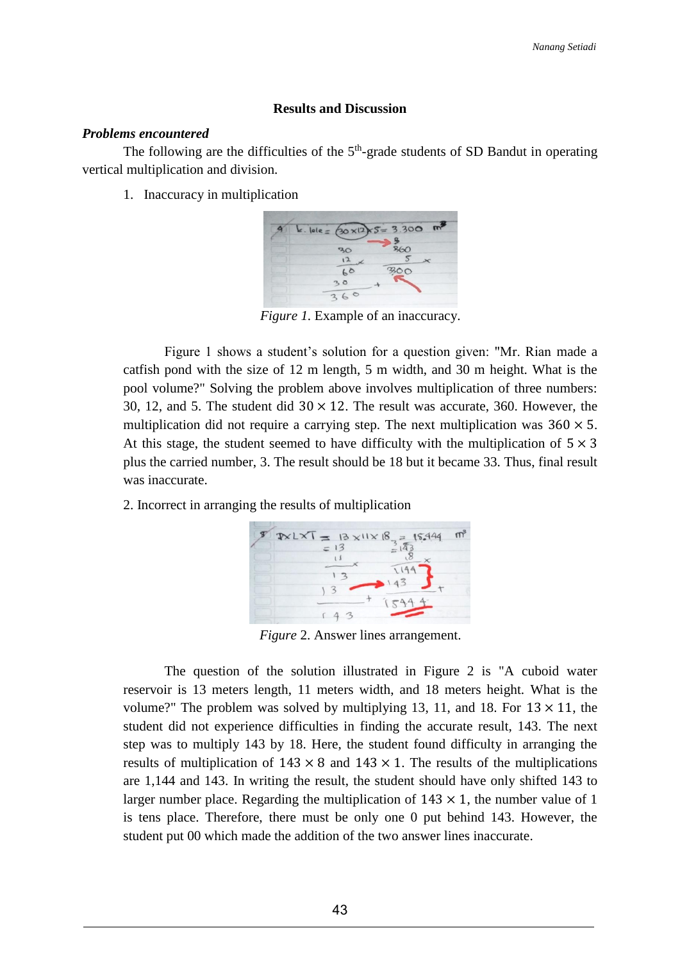### **Results and Discussion**

### *Problems encountered*

The following are the difficulties of the  $5<sup>th</sup>$ -grade students of SD Bandut in operating vertical multiplication and division.

1. Inaccuracy in multiplication



*Figure 1.* Example of an inaccuracy.

Figure 1 shows a student's solution for a question given: "Mr. Rian made a catfish pond with the size of 12 m length, 5 m width, and 30 m height. What is the pool volume?" Solving the problem above involves multiplication of three numbers: 30, 12, and 5. The student did  $30 \times 12$ . The result was accurate, 360. However, the multiplication did not require a carrying step. The next multiplication was  $360 \times 5$ . At this stage, the student seemed to have difficulty with the multiplication of  $5 \times 3$ plus the carried number, 3. The result should be 18 but it became 33. Thus, final result was inaccurate.

2. Incorrect in arranging the results of multiplication



*Figure* 2. Answer lines arrangement.

The question of the solution illustrated in Figure 2 is "A cuboid water reservoir is 13 meters length, 11 meters width, and 18 meters height. What is the volume?" The problem was solved by multiplying 13, 11, and 18. For  $13 \times 11$ , the student did not experience difficulties in finding the accurate result, 143. The next step was to multiply 143 by 18. Here, the student found difficulty in arranging the results of multiplication of  $143 \times 8$  and  $143 \times 1$ . The results of the multiplications are 1,144 and 143. In writing the result, the student should have only shifted 143 to larger number place. Regarding the multiplication of  $143 \times 1$ , the number value of 1 is tens place. Therefore, there must be only one 0 put behind 143. However, the student put 00 which made the addition of the two answer lines inaccurate.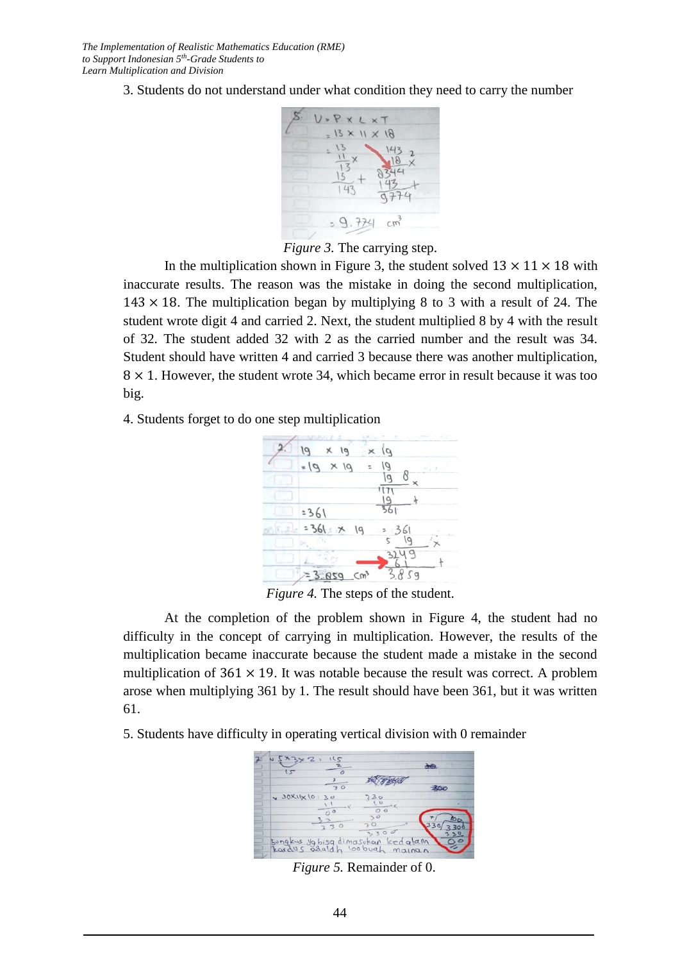3. Students do not understand under what condition they need to carry the number



*Figure 3.* The carrying step.

In the multiplication shown in Figure 3, the student solved  $13 \times 11 \times 18$  with inaccurate results. The reason was the mistake in doing the second multiplication,  $143 \times 18$ . The multiplication began by multiplying 8 to 3 with a result of 24. The student wrote digit 4 and carried 2. Next, the student multiplied 8 by 4 with the result of 32. The student added 32 with 2 as the carried number and the result was 34. Student should have written 4 and carried 3 because there was another multiplication,  $8 \times 1$ . However, the student wrote 34, which became error in result because it was too big.

4. Students forget to do one step multiplication



*Figure 4.* The steps of the student.

At the completion of the problem shown in Figure 4, the student had no difficulty in the concept of carrying in multiplication. However, the results of the multiplication became inaccurate because the student made a mistake in the second multiplication of  $361 \times 19$ . It was notable because the result was correct. A problem arose when multiplying 361 by 1. The result should have been 361, but it was written 61.

5. Students have difficulty in operating vertical division with 0 remainder



*Figure 5.* Remainder of 0.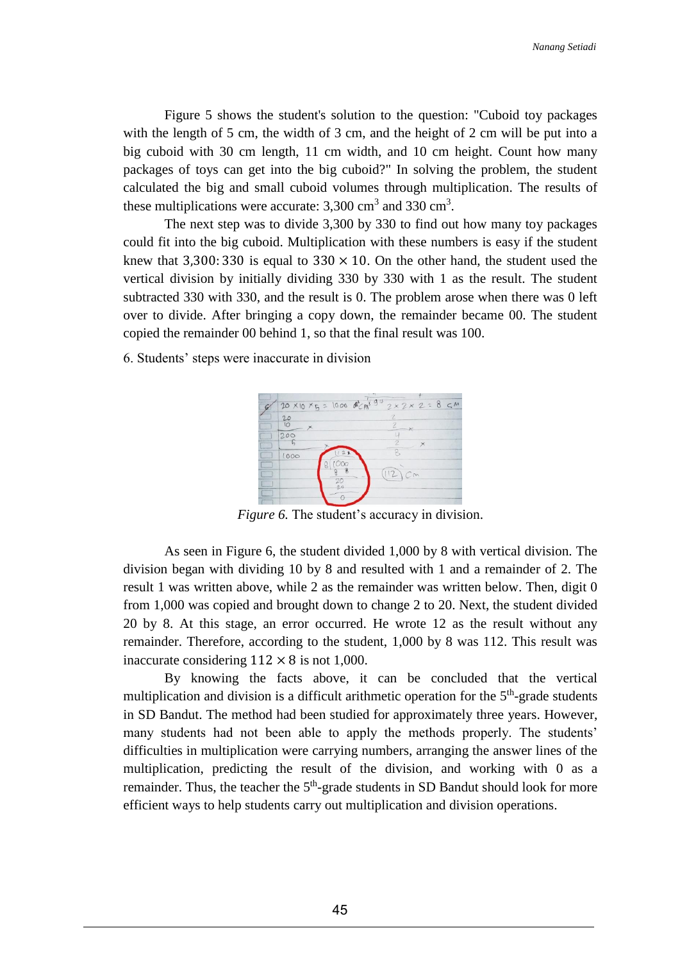Figure 5 shows the student's solution to the question: "Cuboid toy packages with the length of 5 cm, the width of 3 cm, and the height of 2 cm will be put into a big cuboid with 30 cm length, 11 cm width, and 10 cm height. Count how many packages of toys can get into the big cuboid?" In solving the problem, the student calculated the big and small cuboid volumes through multiplication. The results of these multiplications were accurate:  $3,300 \text{ cm}^3$  and  $330 \text{ cm}^3$ .

The next step was to divide 3,300 by 330 to find out how many toy packages could fit into the big cuboid. Multiplication with these numbers is easy if the student knew that 3,300: 330 is equal to  $330 \times 10$ . On the other hand, the student used the vertical division by initially dividing 330 by 330 with 1 as the result. The student subtracted 330 with 330, and the result is 0. The problem arose when there was 0 left over to divide. After bringing a copy down, the remainder became 00. The student copied the remainder 00 behind 1, so that the final result was 100.

6. Students' steps were inaccurate in division



*Figure 6.* The student's accuracy in division.

As seen in Figure 6, the student divided 1,000 by 8 with vertical division. The division began with dividing 10 by 8 and resulted with 1 and a remainder of 2. The result 1 was written above, while 2 as the remainder was written below. Then, digit 0 from 1,000 was copied and brought down to change 2 to 20. Next, the student divided 20 by 8. At this stage, an error occurred. He wrote 12 as the result without any remainder. Therefore, according to the student, 1,000 by 8 was 112. This result was inaccurate considering  $112 \times 8$  is not 1,000.

By knowing the facts above, it can be concluded that the vertical multiplication and division is a difficult arithmetic operation for the  $5<sup>th</sup>$ -grade students in SD Bandut. The method had been studied for approximately three years. However, many students had not been able to apply the methods properly. The students' difficulties in multiplication were carrying numbers, arranging the answer lines of the multiplication, predicting the result of the division, and working with 0 as a remainder. Thus, the teacher the  $5<sup>th</sup>$ -grade students in SD Bandut should look for more efficient ways to help students carry out multiplication and division operations.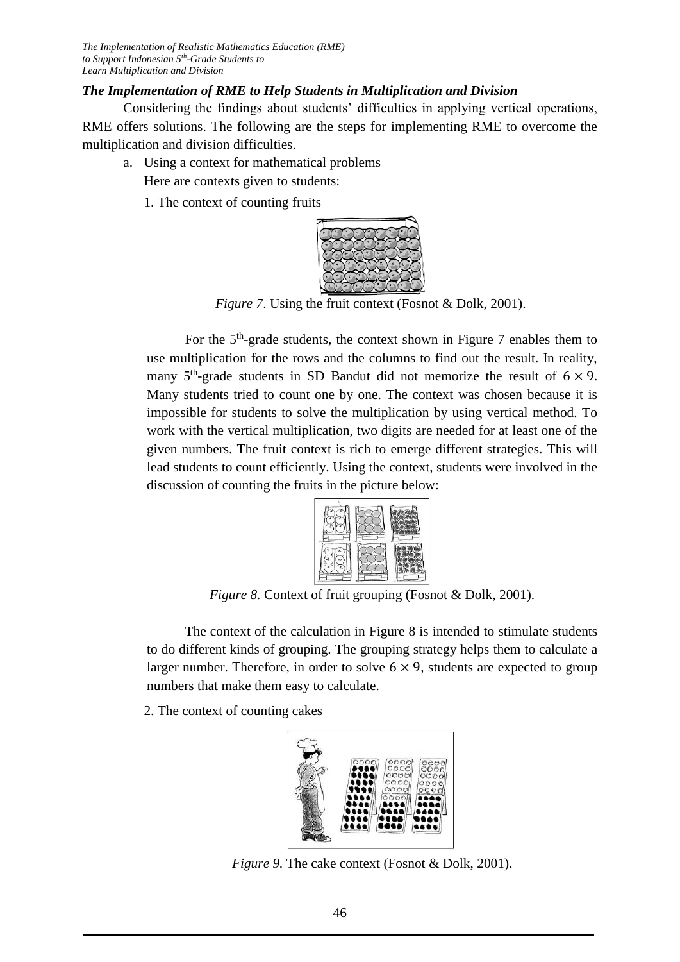# *The Implementation of RME to Help Students in Multiplication and Division*

Considering the findings about students' difficulties in applying vertical operations, RME offers solutions. The following are the steps for implementing RME to overcome the multiplication and division difficulties.

- a. Using a context for mathematical problems Here are contexts given to students:
	- 1. The context of counting fruits



*Figure 7.* Using the fruit context (Fosnot & Dolk, 2001).

For the  $5<sup>th</sup>$ -grade students, the context shown in Figure 7 enables them to use multiplication for the rows and the columns to find out the result. In reality, many  $5<sup>th</sup>$ -grade students in SD Bandut did not memorize the result of  $6 \times 9$ . Many students tried to count one by one. The context was chosen because it is impossible for students to solve the multiplication by using vertical method. To work with the vertical multiplication, two digits are needed for at least one of the given numbers. The fruit context is rich to emerge different strategies. This will lead students to count efficiently. Using the context, students were involved in the discussion of counting the fruits in the picture below:



*Figure 8.* Context of fruit grouping (Fosnot & Dolk, 2001).

The context of the calculation in Figure 8 is intended to stimulate students to do different kinds of grouping. The grouping strategy helps them to calculate a larger number. Therefore, in order to solve  $6 \times 9$ , students are expected to group numbers that make them easy to calculate.

2. The context of counting cakes



*Figure 9.* The cake context (Fosnot & Dolk, 2001).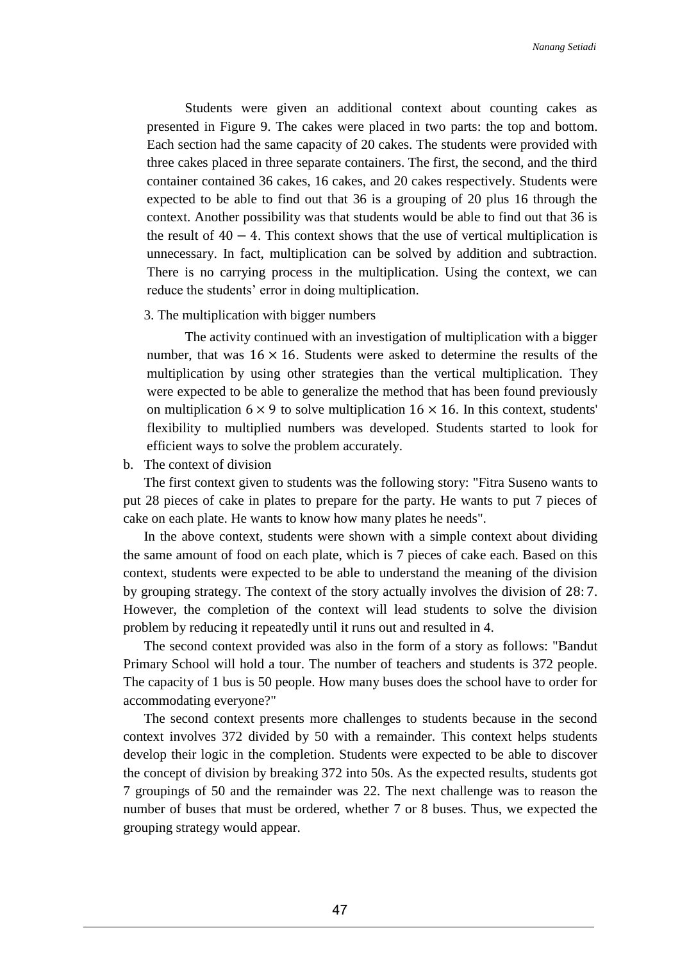Students were given an additional context about counting cakes as presented in Figure 9. The cakes were placed in two parts: the top and bottom. Each section had the same capacity of 20 cakes. The students were provided with three cakes placed in three separate containers. The first, the second, and the third container contained 36 cakes, 16 cakes, and 20 cakes respectively. Students were expected to be able to find out that 36 is a grouping of 20 plus 16 through the context. Another possibility was that students would be able to find out that 36 is the result of  $40 - 4$ . This context shows that the use of vertical multiplication is unnecessary. In fact, multiplication can be solved by addition and subtraction. There is no carrying process in the multiplication. Using the context, we can reduce the students' error in doing multiplication.

#### 3. The multiplication with bigger numbers

The activity continued with an investigation of multiplication with a bigger number, that was  $16 \times 16$ . Students were asked to determine the results of the multiplication by using other strategies than the vertical multiplication. They were expected to be able to generalize the method that has been found previously on multiplication  $6 \times 9$  to solve multiplication  $16 \times 16$ . In this context, students' flexibility to multiplied numbers was developed. Students started to look for efficient ways to solve the problem accurately.

b. The context of division

The first context given to students was the following story: "Fitra Suseno wants to put 28 pieces of cake in plates to prepare for the party. He wants to put 7 pieces of cake on each plate. He wants to know how many plates he needs".

In the above context, students were shown with a simple context about dividing the same amount of food on each plate, which is 7 pieces of cake each. Based on this context, students were expected to be able to understand the meaning of the division by grouping strategy. The context of the story actually involves the division of 28: 7. However, the completion of the context will lead students to solve the division problem by reducing it repeatedly until it runs out and resulted in 4.

The second context provided was also in the form of a story as follows: "Bandut Primary School will hold a tour. The number of teachers and students is 372 people. The capacity of 1 bus is 50 people. How many buses does the school have to order for accommodating everyone?"

The second context presents more challenges to students because in the second context involves 372 divided by 50 with a remainder. This context helps students develop their logic in the completion. Students were expected to be able to discover the concept of division by breaking 372 into 50s. As the expected results, students got 7 groupings of 50 and the remainder was 22. The next challenge was to reason the number of buses that must be ordered, whether 7 or 8 buses. Thus, we expected the grouping strategy would appear.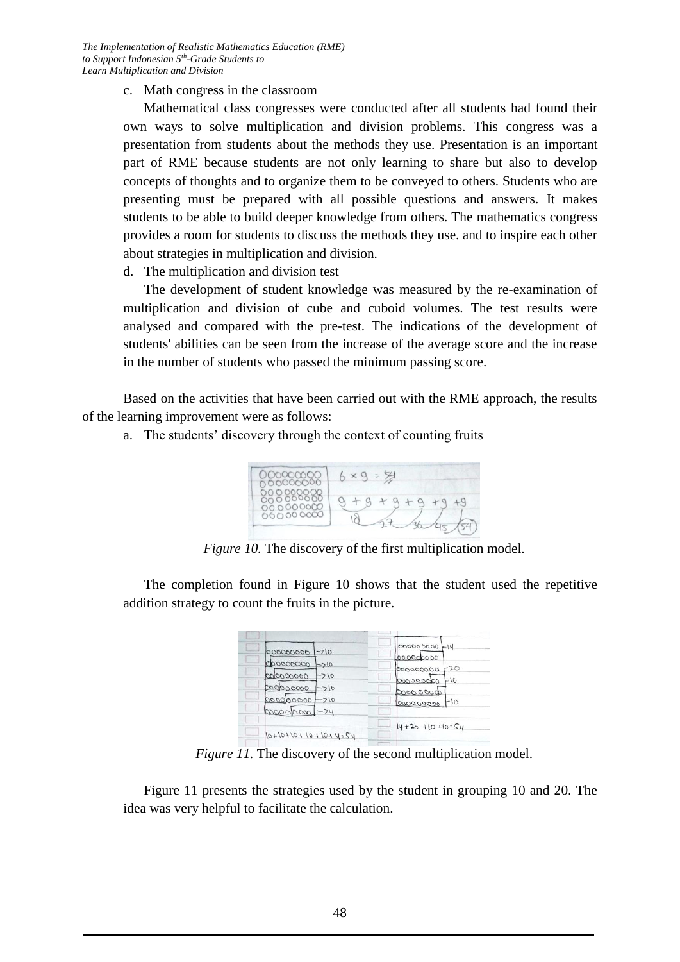c. Math congress in the classroom

Mathematical class congresses were conducted after all students had found their own ways to solve multiplication and division problems. This congress was a presentation from students about the methods they use. Presentation is an important part of RME because students are not only learning to share but also to develop concepts of thoughts and to organize them to be conveyed to others. Students who are presenting must be prepared with all possible questions and answers. It makes students to be able to build deeper knowledge from others. The mathematics congress provides a room for students to discuss the methods they use. and to inspire each other about strategies in multiplication and division.

d. The multiplication and division test

The development of student knowledge was measured by the re-examination of multiplication and division of cube and cuboid volumes. The test results were analysed and compared with the pre-test. The indications of the development of students' abilities can be seen from the increase of the average score and the increase in the number of students who passed the minimum passing score.

Based on the activities that have been carried out with the RME approach, the results of the learning improvement were as follows:

a. The students' discovery through the context of counting fruits

| 0000000<br>000000000               |  |
|------------------------------------|--|
| 000000000<br>00000000<br>000000000 |  |
|                                    |  |

*Figure 10.* The discovery of the first multiplication model.

The completion found in Figure 10 shows that the student used the repetitive addition strategy to count the fruits in the picture.

| 00000000<br>$-710$   | 000000000 -14                 |
|----------------------|-------------------------------|
| 00000000<br>$-210$   | 000000000<br>$+20$            |
| 000000000<br>$-210$  | 00000000<br>ogoogogo<br>$-10$ |
| 0000000000<br>$-210$ | 60000000                      |
| 000000000-710        | $-10$<br>000000000            |
| $0000000000 - 74$    |                               |
|                      | $14 + 20 + 10 + 10 = 54$      |

*Figure 11.* The discovery of the second multiplication model.

Figure 11 presents the strategies used by the student in grouping 10 and 20. The idea was very helpful to facilitate the calculation.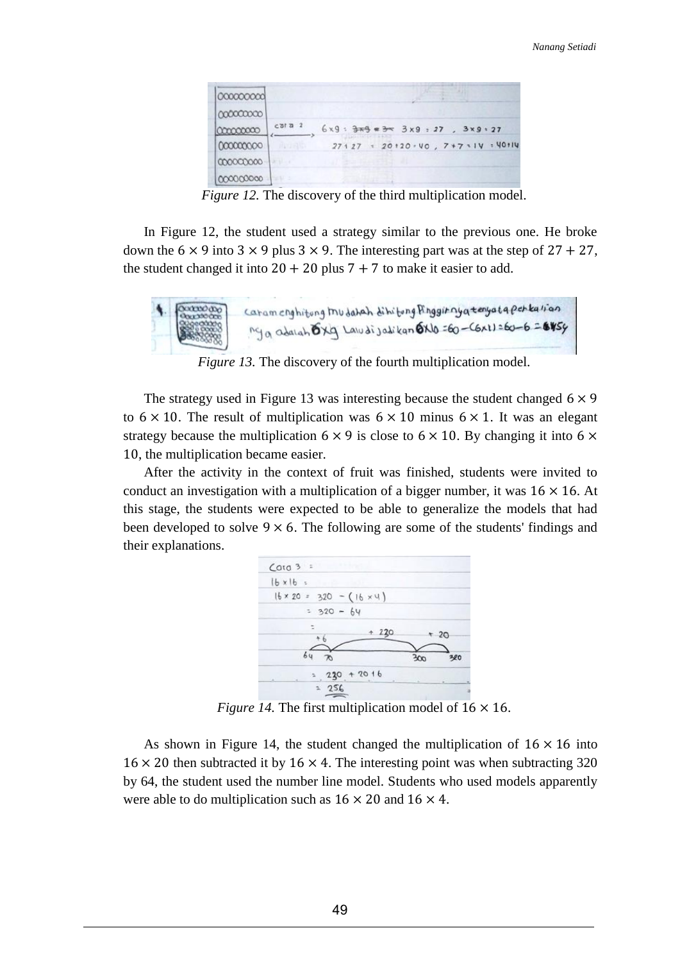| 000000000 |                |  |                                                                |  |  |
|-----------|----------------|--|----------------------------------------------------------------|--|--|
| 000000000 |                |  |                                                                |  |  |
| 000000000 | $c$ ata $2$    |  | $6x9:$ $\frac{2}{3}x9$ $\approx$ $\frac{3}{3}x9:27$ , $3x9:27$ |  |  |
| 000000000 | <b>ANTAL</b>   |  | 27127 = 20120 · VO, 7+7 = IV = 40114                           |  |  |
| 000000000 |                |  |                                                                |  |  |
| 000000000 | <b>ANGEL 3</b> |  |                                                                |  |  |

*Figure 12.* The discovery of the third multiplication model.

In Figure 12, the student used a strategy similar to the previous one. He broke down the  $6 \times 9$  into  $3 \times 9$  plus  $3 \times 9$ . The interesting part was at the step of  $27 + 27$ , the student changed it into  $20 + 20$  plus  $7 + 7$  to make it easier to add.



*Figure 13.* The discovery of the fourth multiplication model.

The strategy used in Figure 13 was interesting because the student changed  $6 \times 9$ to  $6 \times 10$ . The result of multiplication was  $6 \times 10$  minus  $6 \times 1$ . It was an elegant strategy because the multiplication  $6 \times 9$  is close to  $6 \times 10$ . By changing it into  $6 \times$ 10, the multiplication became easier.

After the activity in the context of fruit was finished, students were invited to conduct an investigation with a multiplication of a bigger number, it was  $16 \times 16$ . At this stage, the students were expected to be able to generalize the models that had been developed to solve  $9 \times 6$ . The following are some of the students' findings and their explanations.



*Figure 14.* The first multiplication model of  $16 \times 16$ .

As shown in Figure 14, the student changed the multiplication of  $16 \times 16$  into  $16 \times 20$  then subtracted it by  $16 \times 4$ . The interesting point was when subtracting 320 by 64, the student used the number line model. Students who used models apparently were able to do multiplication such as  $16 \times 20$  and  $16 \times 4$ .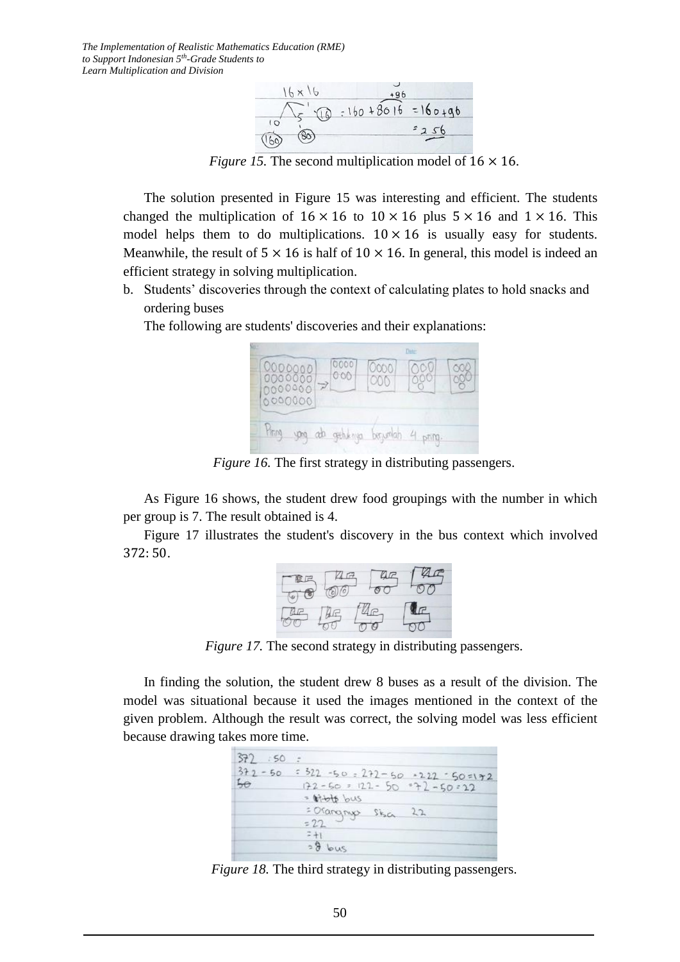

*Figure 15.* The second multiplication model of  $16 \times 16$ .

The solution presented in Figure 15 was interesting and efficient. The students changed the multiplication of  $16 \times 16$  to  $10 \times 16$  plus  $5 \times 16$  and  $1 \times 16$ . This model helps them to do multiplications.  $10 \times 16$  is usually easy for students. Meanwhile, the result of  $5 \times 16$  is half of  $10 \times 16$ . In general, this model is indeed an efficient strategy in solving multiplication.

b. Students' discoveries through the context of calculating plates to hold snacks and ordering buses

The following are students' discoveries and their explanations:

|                                        |             | Date: |    |
|----------------------------------------|-------------|-------|----|
| 0000<br>000<br>$\rightarrow$<br>000000 | 0000<br>000 |       | 50 |
|                                        | berumah     | snm.  |    |

*Figure 16.* The first strategy in distributing passengers.

As Figure 16 shows, the student drew food groupings with the number in which per group is 7. The result obtained is 4.

Figure 17 illustrates the student's discovery in the bus context which involved 372: 50.



*Figure 17.* The second strategy in distributing passengers.

In finding the solution, the student drew 8 buses as a result of the division. The model was situational because it used the images mentioned in the context of the given problem. Although the result was correct, the solving model was less efficient because drawing takes more time.

| 372 : 50        |                                                                                              |
|-----------------|----------------------------------------------------------------------------------------------|
| $372 - 50$<br>⊷ | $522 - 50 - 272 - 50 - 222 - 50 = 72$<br>$172 - 50 = 122 - 50 = 72 - 50 = 22$<br>= bible bus |
|                 | = Orangryp Sisa<br>22<br>$= 22$                                                              |
|                 | $38$ bus                                                                                     |

*Figure 18.* The third strategy in distributing passengers.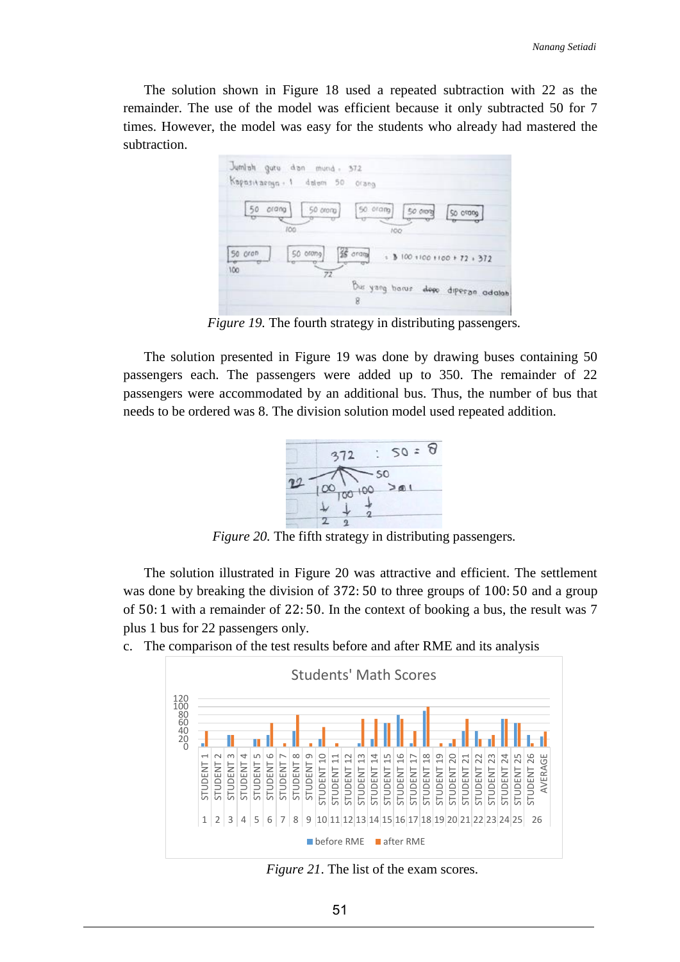The solution shown in Figure 18 used a repeated subtraction with 22 as the remainder. The use of the model was efficient because it only subtracted 50 for 7 times. However, the model was easy for the students who already had mastered the subtraction.



*Figure 19.* The fourth strategy in distributing passengers*.*

The solution presented in Figure 19 was done by drawing buses containing 50 passengers each. The passengers were added up to 350. The remainder of 22 passengers were accommodated by an additional bus. Thus, the number of bus that needs to be ordered was 8. The division solution model used repeated addition.



*Figure 20.* The fifth strategy in distributing passengers*.*

The solution illustrated in Figure 20 was attractive and efficient. The settlement was done by breaking the division of 372: 50 to three groups of 100: 50 and a group of 50: 1 with a remainder of 22: 50. In the context of booking a bus, the result was 7 plus 1 bus for 22 passengers only.

c. The comparison of the test results before and after RME and its analysis



*Figure 21*. The list of the exam scores.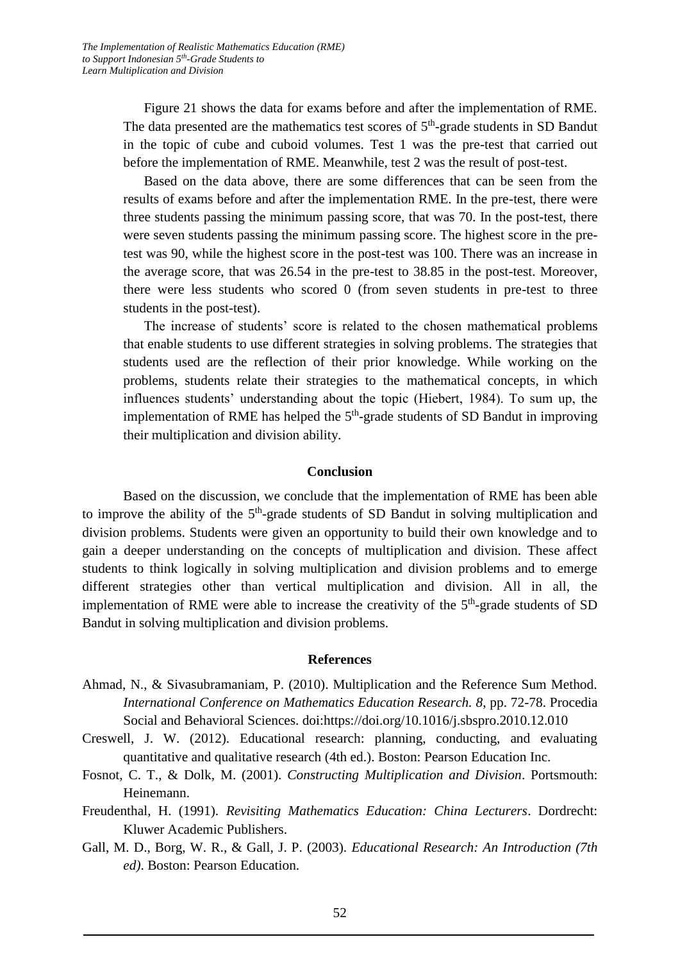Figure 21 shows the data for exams before and after the implementation of RME. The data presented are the mathematics test scores of  $5<sup>th</sup>$ -grade students in SD Bandut in the topic of cube and cuboid volumes. Test 1 was the pre-test that carried out before the implementation of RME. Meanwhile, test 2 was the result of post-test.

Based on the data above, there are some differences that can be seen from the results of exams before and after the implementation RME. In the pre-test, there were three students passing the minimum passing score, that was 70. In the post-test, there were seven students passing the minimum passing score. The highest score in the pretest was 90, while the highest score in the post-test was 100. There was an increase in the average score, that was 26.54 in the pre-test to 38.85 in the post-test. Moreover, there were less students who scored 0 (from seven students in pre-test to three students in the post-test).

The increase of students' score is related to the chosen mathematical problems that enable students to use different strategies in solving problems. The strategies that students used are the reflection of their prior knowledge. While working on the problems, students relate their strategies to the mathematical concepts, in which influences students' understanding about the topic (Hiebert, 1984). To sum up, the implementation of RME has helped the  $5<sup>th</sup>$ -grade students of SD Bandut in improving their multiplication and division ability.

#### **Conclusion**

Based on the discussion, we conclude that the implementation of RME has been able to improve the ability of the  $5<sup>th</sup>$ -grade students of SD Bandut in solving multiplication and division problems. Students were given an opportunity to build their own knowledge and to gain a deeper understanding on the concepts of multiplication and division. These affect students to think logically in solving multiplication and division problems and to emerge different strategies other than vertical multiplication and division. All in all, the implementation of RME were able to increase the creativity of the  $5<sup>th</sup>$ -grade students of SD Bandut in solving multiplication and division problems.

#### **References**

- Ahmad, N., & Sivasubramaniam, P. (2010). Multiplication and the Reference Sum Method. *International Conference on Mathematics Education Research. 8*, pp. 72-78. Procedia Social and Behavioral Sciences. doi:https://doi.org/10.1016/j.sbspro.2010.12.010
- Creswell, J. W. (2012). Educational research: planning, conducting, and evaluating quantitative and qualitative research (4th ed.). Boston: Pearson Education Inc.
- Fosnot, C. T., & Dolk, M. (2001). *Constructing Multiplication and Division*. Portsmouth: Heinemann.
- Freudenthal, H. (1991). *Revisiting Mathematics Education: China Lecturers*. Dordrecht: Kluwer Academic Publishers.
- Gall, M. D., Borg, W. R., & Gall, J. P. (2003). *Educational Research: An Introduction (7th ed)*. Boston: Pearson Education.